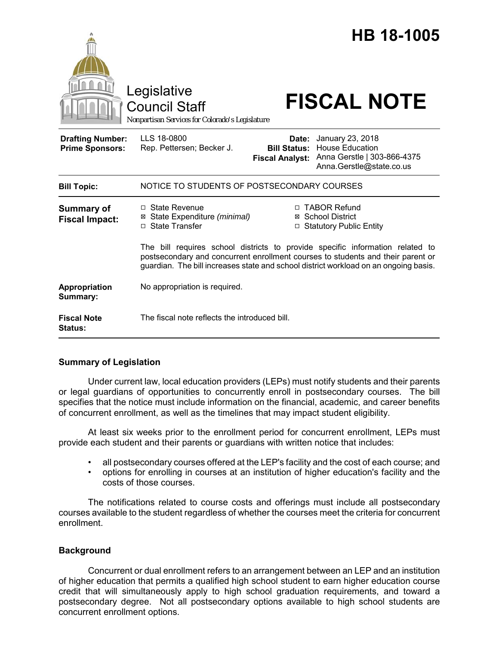

# **Summary of Legislation**

Under current law, local education providers (LEPs) must notify students and their parents or legal guardians of opportunities to concurrently enroll in postsecondary courses. The bill specifies that the notice must include information on the financial, academic, and career benefits of concurrent enrollment, as well as the timelines that may impact student eligibility.

At least six weeks prior to the enrollment period for concurrent enrollment, LEPs must provide each student and their parents or guardians with written notice that includes:

- all postsecondary courses offered at the LEP's facility and the cost of each course; and
- options for enrolling in courses at an institution of higher education's facility and the costs of those courses.

The notifications related to course costs and offerings must include all postsecondary courses available to the student regardless of whether the courses meet the criteria for concurrent enrollment.

# **Background**

Concurrent or dual enrollment refers to an arrangement between an LEP and an institution of higher education that permits a qualified high school student to earn higher education course credit that will simultaneously apply to high school graduation requirements, and toward a postsecondary degree. Not all postsecondary options available to high school students are concurrent enrollment options.